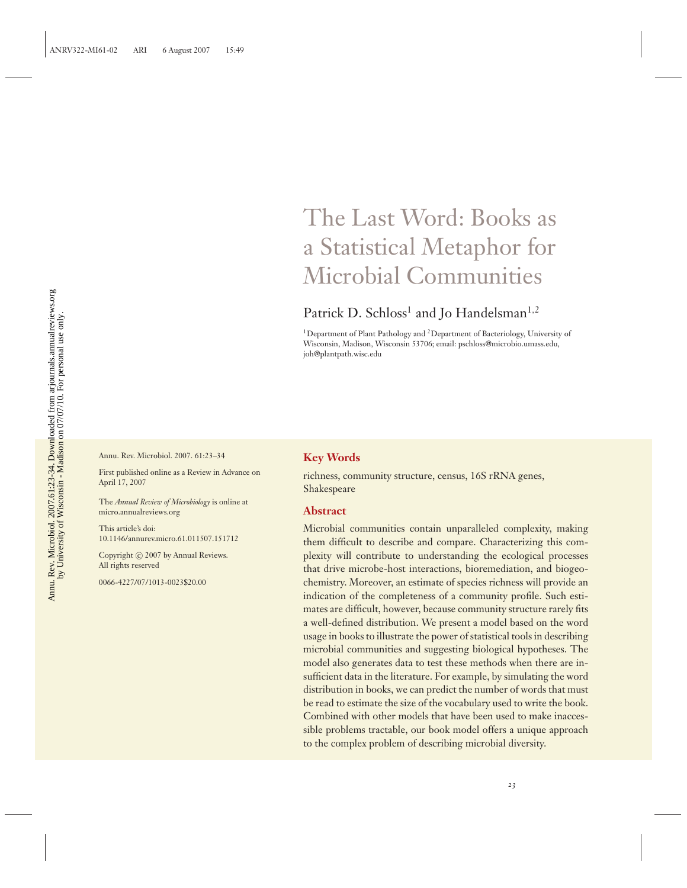# The Last Word: Books as a Statistical Metaphor for Microbial Communities

## Patrick D. Schloss<sup>1</sup> and Jo Handelsman<sup>1,2</sup>

<sup>1</sup>Department of Plant Pathology and <sup>2</sup>Department of Bacteriology, University of Wisconsin, Madison, Wisconsin 53706; email: pschloss@microbio.umass.edu, joh@plantpath.wisc.edu

Annu. Rev. Microbiol. 2007. 61:23–34

First published online as a Review in Advance on April 17, 2007

The *Annual Review of Microbiology* is online at micro.annualreviews.org

This article's doi: 10.1146/annurev.micro.61.011507.151712

Copyright  $\odot$  2007 by Annual Reviews. All rights reserved

0066-4227/07/1013-0023\$20.00

#### **Key Words**

richness, community structure, census, 16S rRNA genes, Shakespeare

#### **Abstract**

Microbial communities contain unparalleled complexity, making them difficult to describe and compare. Characterizing this complexity will contribute to understanding the ecological processes that drive microbe-host interactions, bioremediation, and biogeochemistry. Moreover, an estimate of species richness will provide an indication of the completeness of a community profile. Such estimates are difficult, however, because community structure rarely fits a well-defined distribution. We present a model based on the word usage in books to illustrate the power of statistical tools in describing microbial communities and suggesting biological hypotheses. The model also generates data to test these methods when there are insufficient data in the literature. For example, by simulating the word distribution in books, we can predict the number of words that must be read to estimate the size of the vocabulary used to write the book. Combined with other models that have been used to make inaccessible problems tractable, our book model offers a unique approach to the complex problem of describing microbial diversity.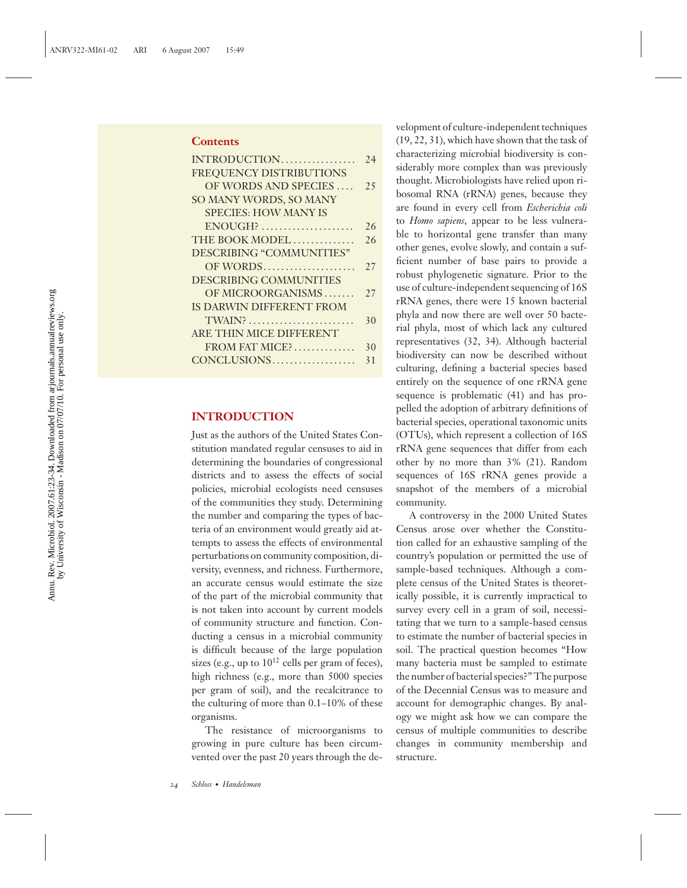#### **Contents**

|                               | 24 |
|-------------------------------|----|
| FREQUENCY DISTRIBUTIONS       |    |
| OF WORDS AND SPECIES          | 25 |
| SO MANY WORDS, SO MANY        |    |
| <b>SPECIES: HOW MANY IS</b>   |    |
| $ENOUGH?$                     | 26 |
| THE BOOK MODEL                | 26 |
| DESCRIBING "COMMUNITIES"      |    |
| OF WORDS                      | 27 |
| <b>DESCRIBING COMMUNITIES</b> |    |
| OF MICROORGANISMS             | 27 |
| IS DARWIN DIFFERENT FROM      |    |
| $TWAIN?$                      | 30 |
| ARE THIN MICE DIFFERENT       |    |
| FROM FAT MICE?                | 30 |
| CONCLUSIONS                   | 31 |

#### **INTRODUCTION**

Just as the authors of the United States Constitution mandated regular censuses to aid in determining the boundaries of congressional districts and to assess the effects of social policies, microbial ecologists need censuses of the communities they study. Determining the number and comparing the types of bacteria of an environment would greatly aid attempts to assess the effects of environmental perturbations on community composition, diversity, evenness, and richness. Furthermore, an accurate census would estimate the size of the part of the microbial community that is not taken into account by current models of community structure and function. Conducting a census in a microbial community is difficult because of the large population sizes (e.g., up to  $10^{12}$  cells per gram of feces), high richness (e.g., more than 5000 species per gram of soil), and the recalcitrance to the culturing of more than 0.1–10% of these organisms.

The resistance of microorganisms to growing in pure culture has been circumvented over the past 20 years through the de-

velopment of culture-independent techniques (19, 22, 31), which have shown that the task of characterizing microbial biodiversity is considerably more complex than was previously thought. Microbiologists have relied upon ribosomal RNA (rRNA) genes, because they are found in every cell from *Escherichia coli* to *Homo sapiens*, appear to be less vulnerable to horizontal gene transfer than many other genes, evolve slowly, and contain a sufficient number of base pairs to provide a robust phylogenetic signature. Prior to the use of culture-independent sequencing of 16S rRNA genes, there were 15 known bacterial phyla and now there are well over 50 bacterial phyla, most of which lack any cultured representatives (32, 34). Although bacterial biodiversity can now be described without culturing, defining a bacterial species based entirely on the sequence of one rRNA gene sequence is problematic (41) and has propelled the adoption of arbitrary definitions of bacterial species, operational taxonomic units (OTUs), which represent a collection of 16S rRNA gene sequences that differ from each other by no more than 3% (21). Random sequences of 16S rRNA genes provide a snapshot of the members of a microbial community.

A controversy in the 2000 United States Census arose over whether the Constitution called for an exhaustive sampling of the country's population or permitted the use of sample-based techniques. Although a complete census of the United States is theoretically possible, it is currently impractical to survey every cell in a gram of soil, necessitating that we turn to a sample-based census to estimate the number of bacterial species in soil. The practical question becomes "How many bacteria must be sampled to estimate the number of bacterial species?" The purpose of the Decennial Census was to measure and account for demographic changes. By analogy we might ask how we can compare the census of multiple communities to describe changes in community membership and structure.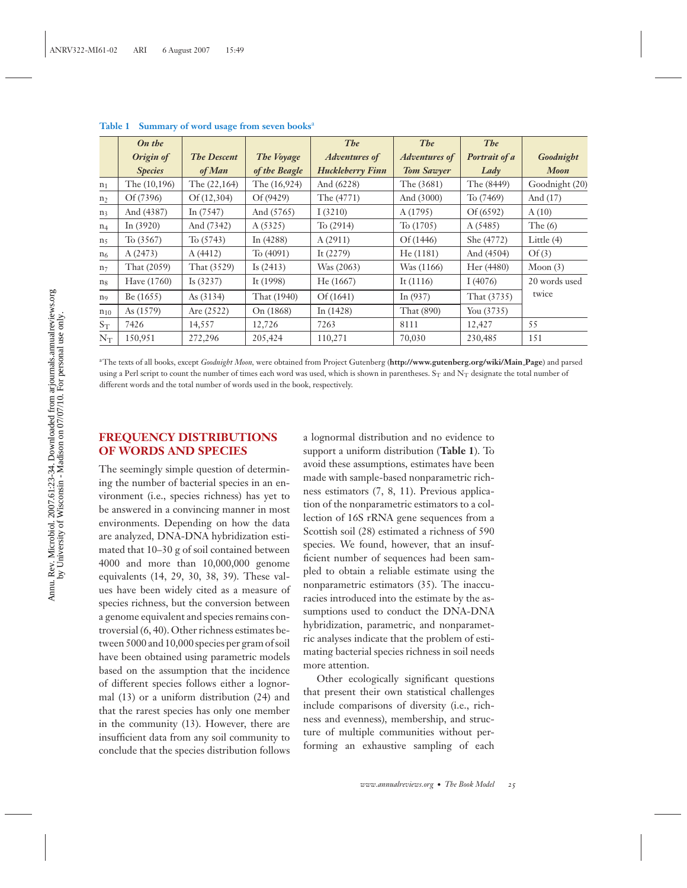|                | On the         |                    |               | The                  | The                  | The           |                  |
|----------------|----------------|--------------------|---------------|----------------------|----------------------|---------------|------------------|
|                | Origin of      | <b>The Descent</b> | The Voyage    | <i>Adventures of</i> | <b>Adventures of</b> | Portrait of a | Goodnight        |
|                | <b>Species</b> | of Man             | of the Beagle | Huckleberry Finn     | <b>Tom Sawyer</b>    | Lady          | <b>Moon</b>      |
| $n_1$          | The (10,196)   | The $(22,164)$     | The (16,924)  | And (6228)           | The (3681)           | The (8449)    | Goodnight (20)   |
| n <sub>2</sub> | Of (7396)      | Of (12, 304)       | Of (9429)     | The (4771)           | And $(3000)$         | To (7469)     | And $(17)$       |
| n <sub>3</sub> | And (4387)     | In $(7547)$        | And (5765)    | I(3210)              | A(1795)              | Of (6592)     | A(10)            |
| $n_4$          | In $(3920)$    | And (7342)         | A(5325)       | To (2914)            | $\sqrt{10(1705)}$    | A(5485)       | The $(6)$        |
| n <sub>5</sub> | To (3567)      | To (5743)          | In $(4288)$   | A(2911)              | $\mathrm{Of}(1446)$  | She (4772)    | Little $(4)$     |
| n <sub>6</sub> | A(2473)        | A(4412)            | To (4091)     | It $(2279)$          | He(1181)             | And (4504)    | $\mathrm{Of}(3)$ |
| n <sub>7</sub> | That (2059)    | That (3529)        | Is $(2413)$   | Was (2063)           | Was (1166)           | Her (4480)    | Moon (3)         |
| $\rm ns$       | Have (1760)    | Is $(3237)$        | It $(1998)$   | He(1667)             | It $(1116)$          | I $(4076)$    | 20 words used    |
| $\mathbf{n}_0$ | Be(1655)       | As $(3134)$        | That (1940)   | Of (1641)            | In $(937)$           | That (3735)   | twice            |
| $n_{10}$       | As $(1579)$    | Are $(2522)$       | On (1868)     | In $(1428)$          | That (890)           | You $(3735)$  |                  |
| $S_T$          | 7426           | 14,557             | 12,726        | 7263                 | 8111                 | 12,427        | 55               |
| $N_T$          | 150,951        | 272,296            | 205,424       | 110,271              | 70,030               | 230,485       | 151              |

Table 1 Summary of word usage from seven books<sup>a</sup>

aThe texts of all books, except *Goodnight Moon,* were obtained from Project Gutenberg (**http://www.gutenberg.org/wiki/Main Page**) and parsed using a Perl script to count the number of times each word was used, which is shown in parentheses.  $S_T$  and  $N_T$  designate the total number of different words and the total number of words used in the book, respectively.

## **FREQUENCY DISTRIBUTIONS OF WORDS AND SPECIES**

The seemingly simple question of determining the number of bacterial species in an environment (i.e., species richness) has yet to be answered in a convincing manner in most environments. Depending on how the data are analyzed, DNA-DNA hybridization estimated that 10–30 g of soil contained between 4000 and more than 10,000,000 genome equivalents (14, 29, 30, 38, 39). These values have been widely cited as a measure of species richness, but the conversion between a genome equivalent and species remains controversial (6, 40). Other richness estimates between 5000 and 10,000 species per gram of soil have been obtained using parametric models based on the assumption that the incidence of different species follows either a lognormal (13) or a uniform distribution (24) and that the rarest species has only one member in the community (13). However, there are insufficient data from any soil community to conclude that the species distribution follows

a lognormal distribution and no evidence to support a uniform distribution (**Table 1**). To avoid these assumptions, estimates have been made with sample-based nonparametric richness estimators (7, 8, 11). Previous application of the nonparametric estimators to a collection of 16S rRNA gene sequences from a Scottish soil (28) estimated a richness of 590 species. We found, however, that an insufficient number of sequences had been sampled to obtain a reliable estimate using the nonparametric estimators (35). The inaccuracies introduced into the estimate by the assumptions used to conduct the DNA-DNA hybridization, parametric, and nonparametric analyses indicate that the problem of estimating bacterial species richness in soil needs more attention.

Other ecologically significant questions that present their own statistical challenges include comparisons of diversity (i.e., richness and evenness), membership, and structure of multiple communities without performing an exhaustive sampling of each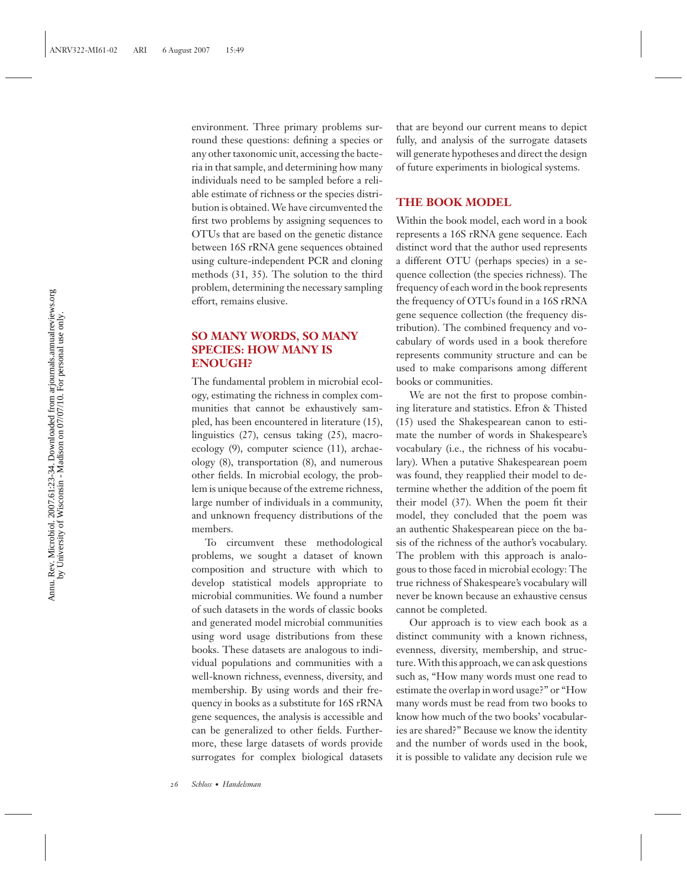environment. Three primary problems surround these questions: defining a species or any other taxonomic unit, accessing the bacteria in that sample, and determining how many individuals need to be sampled before a reliable estimate of richness or the species distribution is obtained. We have circumvented the first two problems by assigning sequences to OTUs that are based on the genetic distance between 16S rRNA gene sequences obtained using culture-independent PCR and cloning methods (31, 35). The solution to the third problem, determining the necessary sampling effort, remains elusive.

## **SO MANY WORDS, SO MANY SPECIES: HOW MANY IS ENOUGH?**

The fundamental problem in microbial ecology, estimating the richness in complex communities that cannot be exhaustively sampled, has been encountered in literature (15), linguistics (27), census taking (25), macroecology (9), computer science (11), archaeology (8), transportation (8), and numerous other fields. In microbial ecology, the problem is unique because of the extreme richness, large number of individuals in a community, and unknown frequency distributions of the members.

To circumvent these methodological problems, we sought a dataset of known composition and structure with which to develop statistical models appropriate to microbial communities. We found a number of such datasets in the words of classic books and generated model microbial communities using word usage distributions from these books. These datasets are analogous to individual populations and communities with a well-known richness, evenness, diversity, and membership. By using words and their frequency in books as a substitute for 16S rRNA gene sequences, the analysis is accessible and can be generalized to other fields. Furthermore, these large datasets of words provide surrogates for complex biological datasets that are beyond our current means to depict fully, and analysis of the surrogate datasets will generate hypotheses and direct the design of future experiments in biological systems.

#### **THE BOOK MODEL**

Within the book model, each word in a book represents a 16S rRNA gene sequence. Each distinct word that the author used represents a different OTU (perhaps species) in a sequence collection (the species richness). The frequency of each word in the book represents the frequency of OTUs found in a 16S rRNA gene sequence collection (the frequency distribution). The combined frequency and vocabulary of words used in a book therefore represents community structure and can be used to make comparisons among different books or communities.

We are not the first to propose combining literature and statistics. Efron & Thisted (15) used the Shakespearean canon to estimate the number of words in Shakespeare's vocabulary (i.e., the richness of his vocabulary). When a putative Shakespearean poem was found, they reapplied their model to determine whether the addition of the poem fit their model (37). When the poem fit their model, they concluded that the poem was an authentic Shakespearean piece on the basis of the richness of the author's vocabulary. The problem with this approach is analogous to those faced in microbial ecology: The true richness of Shakespeare's vocabulary will never be known because an exhaustive census cannot be completed.

Our approach is to view each book as a distinct community with a known richness, evenness, diversity, membership, and structure. With this approach, we can ask questions such as, "How many words must one read to estimate the overlap in word usage?" or "How many words must be read from two books to know how much of the two books' vocabularies are shared?" Because we know the identity and the number of words used in the book, it is possible to validate any decision rule we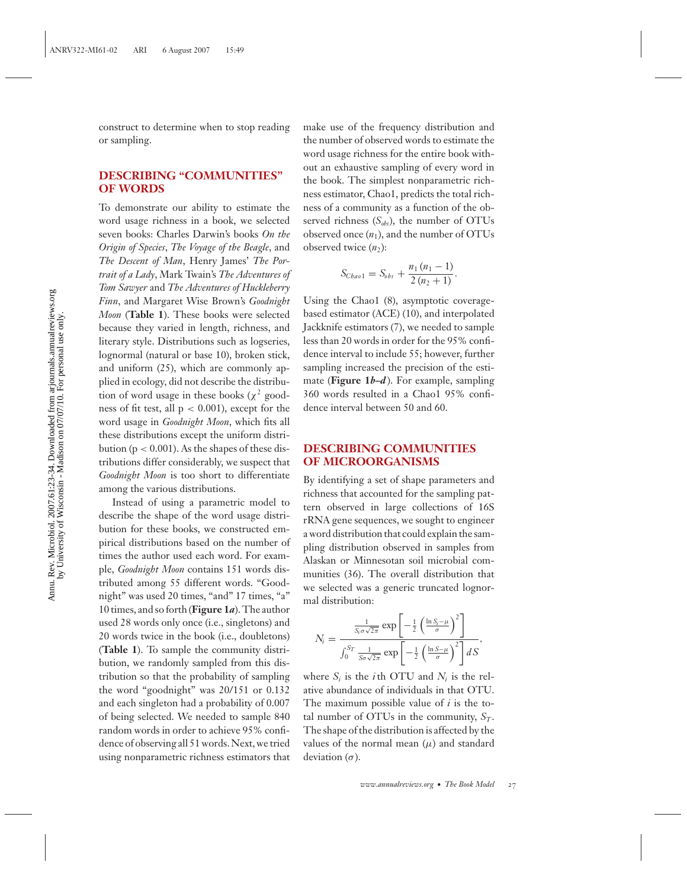construct to determine when to stop reading or sampling.

## **DESCRIBING "COMMUNITIES" OF WORDS**

To demonstrate our ability to estimate the word usage richness in a book, we selected seven books: Charles Darwin's books *On the Origin of Species*, *The Voyage of the Beagle*, and *The Descent of Man*, Henry James' *The Portrait of a Lady*, Mark Twain's *The Adventures of Tom Sawyer* and *The Adventures of Huckleberry Finn*, and Margaret Wise Brown's *Goodnight Moon* (**Table 1**). These books were selected because they varied in length, richness, and literary style. Distributions such as logseries, lognormal (natural or base 10), broken stick, and uniform (25), which are commonly applied in ecology, did not describe the distribution of word usage in these books ( $\chi^2$  goodness of fit test, all  $p < 0.001$ ), except for the word usage in *Goodnight Moon*, which fits all these distributions except the uniform distribution ( $p < 0.001$ ). As the shapes of these distributions differ considerably, we suspect that *Goodnight Moon* is too short to differentiate among the various distributions.

Instead of using a parametric model to describe the shape of the word usage distribution for these books, we constructed empirical distributions based on the number of times the author used each word. For example, *Goodnight Moon* contains 151 words distributed among 55 different words. "Goodnight" was used 20 times, "and" 17 times, "a" 10 times, and so forth (**Figure 1***a*). The author used 28 words only once (i.e., singletons) and 20 words twice in the book (i.e., doubletons) (**Table 1**). To sample the community distribution, we randomly sampled from this distribution so that the probability of sampling the word "goodnight" was 20/151 or 0.132 and each singleton had a probability of 0.007 of being selected. We needed to sample 840 random words in order to achieve 95% confidence of observing all 51 words. Next, we tried using nonparametric richness estimators that

make use of the frequency distribution and the number of observed words to estimate the word usage richness for the entire book without an exhaustive sampling of every word in the book. The simplest nonparametric richness estimator, Chao1, predicts the total richness of a community as a function of the observed richness  $(S_{obs})$ , the number of OTUs observed once  $(n_1)$ , and the number of OTUs observed twice  $(n_2)$ :

$$
S_{Chao1} = S_{obs} + \frac{n_1 (n_1 - 1)}{2 (n_2 + 1)}.
$$

Using the Chao1 (8), asymptotic coveragebased estimator (ACE) (10), and interpolated Jackknife estimators (7), we needed to sample less than 20 words in order for the 95% confidence interval to include 55; however, further sampling increased the precision of the estimate (**Figure 1***b–d* ). For example, sampling 360 words resulted in a Chao1 95% confidence interval between 50 and 60.

## **DESCRIBING COMMUNITIES OF MICROORGANISMS**

By identifying a set of shape parameters and richness that accounted for the sampling pattern observed in large collections of 16S rRNA gene sequences, we sought to engineer a word distribution that could explain the sampling distribution observed in samples from Alaskan or Minnesotan soil microbial communities (36). The overall distribution that we selected was a generic truncated lognormal distribution:

$$
N_i = \frac{\frac{1}{S_i \sigma \sqrt{2\pi}} \exp\left[-\frac{1}{2} \left(\frac{\ln S_i - \mu}{\sigma}\right)^2\right]}{\int_0^{S_T} \frac{1}{S \sigma \sqrt{2\pi}} \exp\left[-\frac{1}{2} \left(\frac{\ln S - \mu}{\sigma}\right)^2\right] dS},
$$

where  $S_i$  is the *i* th OTU and  $N_i$  is the relative abundance of individuals in that OTU. The maximum possible value of *i* is the total number of OTUs in the community,  $S_T$ . The shape of the distribution is affected by the values of the normal mean  $(\mu)$  and standard deviation  $(\sigma)$ .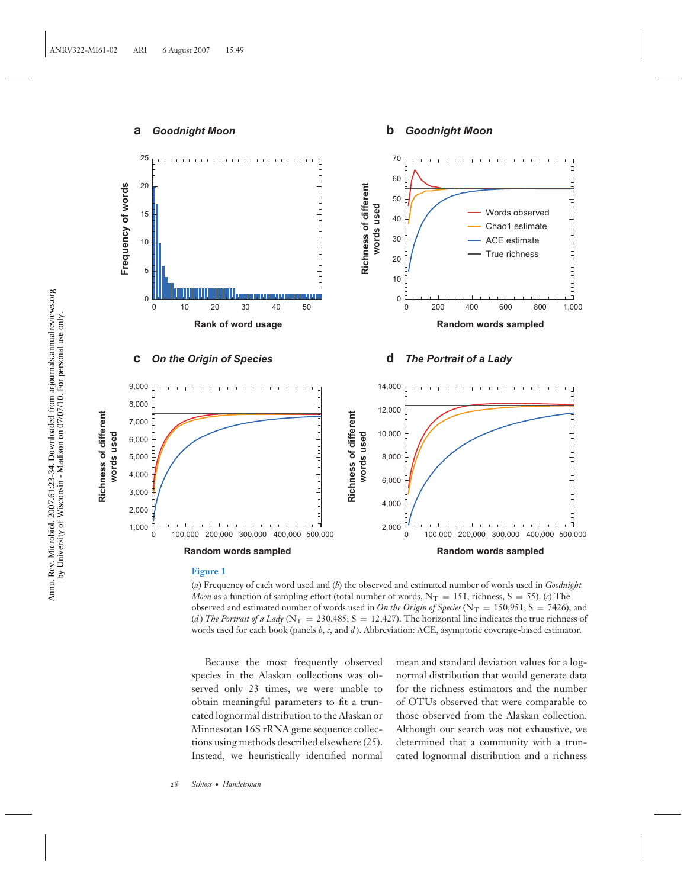**Richness of different**

Richness of different

#### **a** *Goodnight Moon*

#### **b** *Goodnight Moon*



(*a*) Frequency of each word used and (*b*) the observed and estimated number of words used in *Goodnight Moon* as a function of sampling effort (total number of words,  $N_T = 151$ ; richness,  $S = 55$ ). (*c*) The observed and estimated number of words used in *On the Origin of Species* ( $N_T = 150,951$ ; S = 7426), and (*d*) *The Portrait of a Lady* ( $N_T = 230,485$ ; S = 12,427). The horizontal line indicates the true richness of words used for each book (panels *b*, *c*, and *d* ). Abbreviation: ACE, asymptotic coverage-based estimator.

Because the most frequently observed species in the Alaskan collections was observed only 23 times, we were unable to obtain meaningful parameters to fit a truncated lognormal distribution to the Alaskan or Minnesotan 16S rRNA gene sequence collections using methods described elsewhere (25). Instead, we heuristically identified normal mean and standard deviation values for a lognormal distribution that would generate data for the richness estimators and the number of OTUs observed that were comparable to those observed from the Alaskan collection. Although our search was not exhaustive, we determined that a community with a truncated lognormal distribution and a richness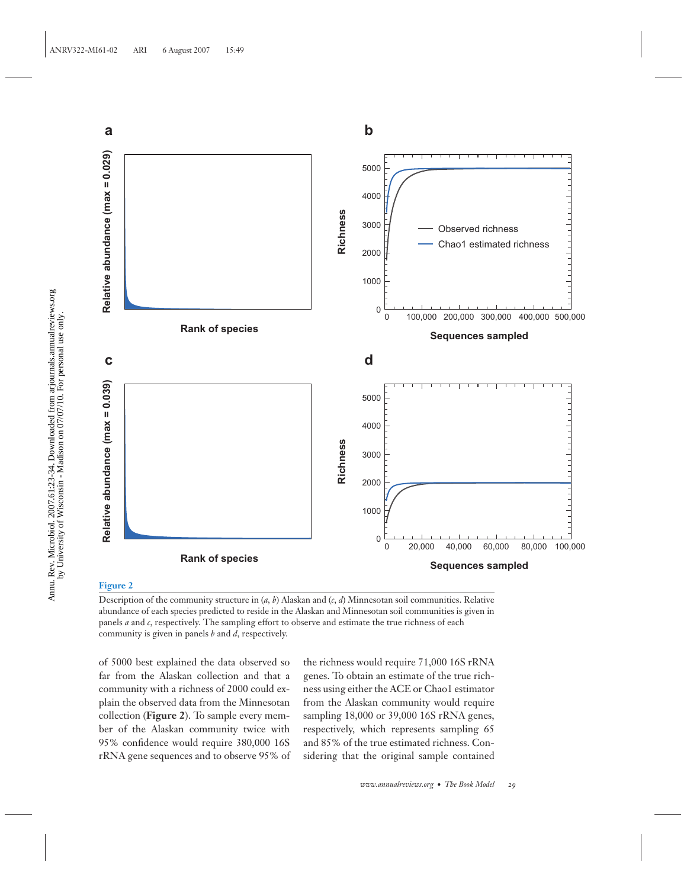

#### **Figure 2**

Description of the community structure in (*a, b*) Alaskan and (*c*, *d*) Minnesotan soil communities. Relative abundance of each species predicted to reside in the Alaskan and Minnesotan soil communities is given in panels *a* and *c*, respectively. The sampling effort to observe and estimate the true richness of each community is given in panels *b* and *d*, respectively.

of 5000 best explained the data observed so far from the Alaskan collection and that a community with a richness of 2000 could explain the observed data from the Minnesotan collection (**Figure 2**). To sample every member of the Alaskan community twice with 95% confidence would require 380,000 16S rRNA gene sequences and to observe 95% of the richness would require 71,000 16S rRNA genes. To obtain an estimate of the true richness using either the ACE or Chao1 estimator from the Alaskan community would require sampling 18,000 or 39,000 16S rRNA genes, respectively, which represents sampling 65 and 85% of the true estimated richness. Considering that the original sample contained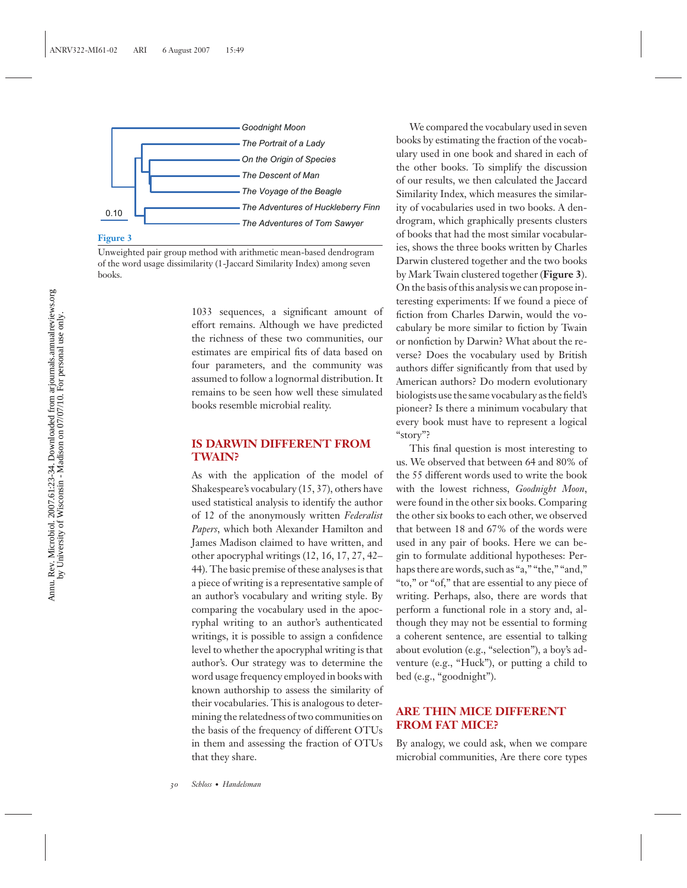

#### **Figure 3**

Unweighted pair group method with arithmetic mean-based dendrogram of the word usage dissimilarity (1-Jaccard Similarity Index) among seven books.

1033 sequences, a significant amount of effort remains. Although we have predicted the richness of these two communities, our estimates are empirical fits of data based on four parameters, and the community was assumed to follow a lognormal distribution. It remains to be seen how well these simulated books resemble microbial reality.

## **IS DARWIN DIFFERENT FROM TWAIN?**

As with the application of the model of Shakespeare's vocabulary (15, 37), others have used statistical analysis to identify the author of 12 of the anonymously written *Federalist Papers*, which both Alexander Hamilton and James Madison claimed to have written, and other apocryphal writings (12, 16, 17, 27, 42– 44). The basic premise of these analyses is that a piece of writing is a representative sample of an author's vocabulary and writing style. By comparing the vocabulary used in the apocryphal writing to an author's authenticated writings, it is possible to assign a confidence level to whether the apocryphal writing is that author's. Our strategy was to determine the word usage frequency employed in books with known authorship to assess the similarity of their vocabularies. This is analogous to determining the relatedness of two communities on the basis of the frequency of different OTUs in them and assessing the fraction of OTUs that they share.

We compared the vocabulary used in seven books by estimating the fraction of the vocabulary used in one book and shared in each of the other books. To simplify the discussion of our results, we then calculated the Jaccard Similarity Index, which measures the similarity of vocabularies used in two books. A dendrogram, which graphically presents clusters of books that had the most similar vocabularies, shows the three books written by Charles Darwin clustered together and the two books by Mark Twain clustered together (**Figure 3**). On the basis of this analysis we can propose interesting experiments: If we found a piece of fiction from Charles Darwin, would the vocabulary be more similar to fiction by Twain or nonfiction by Darwin? What about the reverse? Does the vocabulary used by British authors differ significantly from that used by American authors? Do modern evolutionary biologists use the same vocabulary as the field's pioneer? Is there a minimum vocabulary that every book must have to represent a logical "story"?

This final question is most interesting to us. We observed that between 64 and 80% of the 55 different words used to write the book with the lowest richness, *Goodnight Moon*, were found in the other six books. Comparing the other six books to each other, we observed that between 18 and 67% of the words were used in any pair of books. Here we can begin to formulate additional hypotheses: Perhaps there are words, such as "a," "the," "and," "to," or "of," that are essential to any piece of writing. Perhaps, also, there are words that perform a functional role in a story and, although they may not be essential to forming a coherent sentence, are essential to talking about evolution (e.g., "selection"), a boy's adventure (e.g., "Huck"), or putting a child to bed (e.g., "goodnight").

## **ARE THIN MICE DIFFERENT FROM FAT MICE?**

By analogy, we could ask, when we compare microbial communities, Are there core types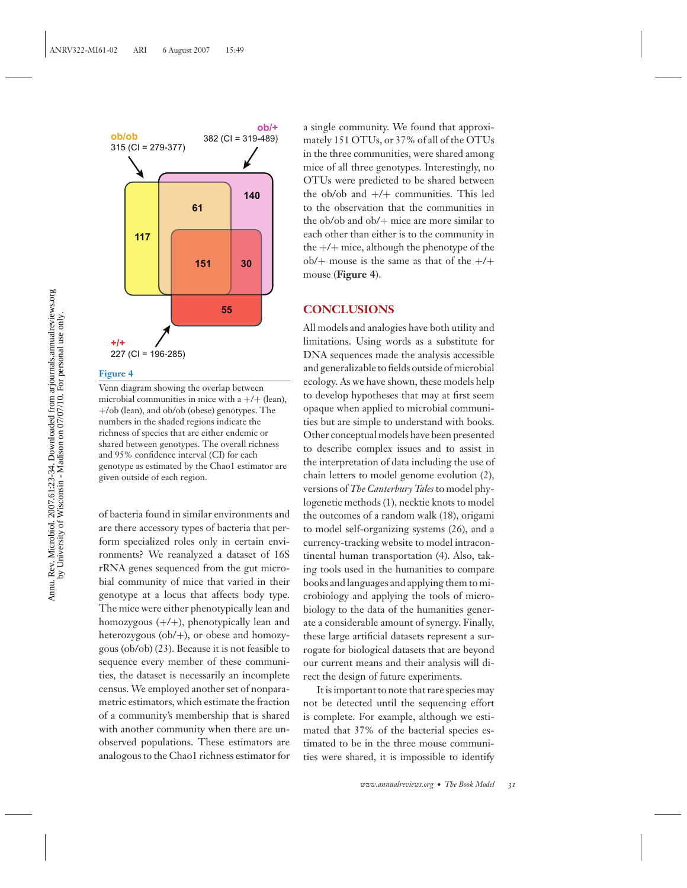

#### **Figure 4**

Venn diagram showing the overlap between microbial communities in mice with  $a +/+$  (lean). +/ob (lean), and ob/ob (obese) genotypes. The numbers in the shaded regions indicate the richness of species that are either endemic or shared between genotypes. The overall richness and 95% confidence interval (CI) for each genotype as estimated by the Chao1 estimator are given outside of each region.

of bacteria found in similar environments and are there accessory types of bacteria that perform specialized roles only in certain environments? We reanalyzed a dataset of 16S rRNA genes sequenced from the gut microbial community of mice that varied in their genotype at a locus that affects body type. The mice were either phenotypically lean and homozygous  $(+/+)$ , phenotypically lean and heterozygous (ob/+), or obese and homozygous (ob/ob) (23). Because it is not feasible to sequence every member of these communities, the dataset is necessarily an incomplete census. We employed another set of nonparametric estimators, which estimate the fraction of a community's membership that is shared with another community when there are unobserved populations. These estimators are analogous to the Chao1 richness estimator for

a single community. We found that approximately 151 OTUs, or 37% of all of the OTUs in the three communities, were shared among mice of all three genotypes. Interestingly, no OTUs were predicted to be shared between the ob/ob and  $+/+$  communities. This led to the observation that the communities in the ob/ob and ob/+ mice are more similar to each other than either is to the community in the  $+/+$  mice, although the phenotype of the  $ob/+$  mouse is the same as that of the  $+/+$ mouse (**Figure 4**).

## **CONCLUSIONS**

All models and analogies have both utility and limitations. Using words as a substitute for DNA sequences made the analysis accessible and generalizable to fields outside of microbial ecology. As we have shown, these models help to develop hypotheses that may at first seem opaque when applied to microbial communities but are simple to understand with books. Other conceptual models have been presented to describe complex issues and to assist in the interpretation of data including the use of chain letters to model genome evolution (2), versions of *The Canterbury Tales* to model phylogenetic methods (1), necktie knots to model the outcomes of a random walk (18), origami to model self-organizing systems (26), and a currency-tracking website to model intracontinental human transportation (4). Also, taking tools used in the humanities to compare books and languages and applying them to microbiology and applying the tools of microbiology to the data of the humanities generate a considerable amount of synergy. Finally, these large artificial datasets represent a surrogate for biological datasets that are beyond our current means and their analysis will direct the design of future experiments.

It is important to note that rare species may not be detected until the sequencing effort is complete. For example, although we estimated that 37% of the bacterial species estimated to be in the three mouse communities were shared, it is impossible to identify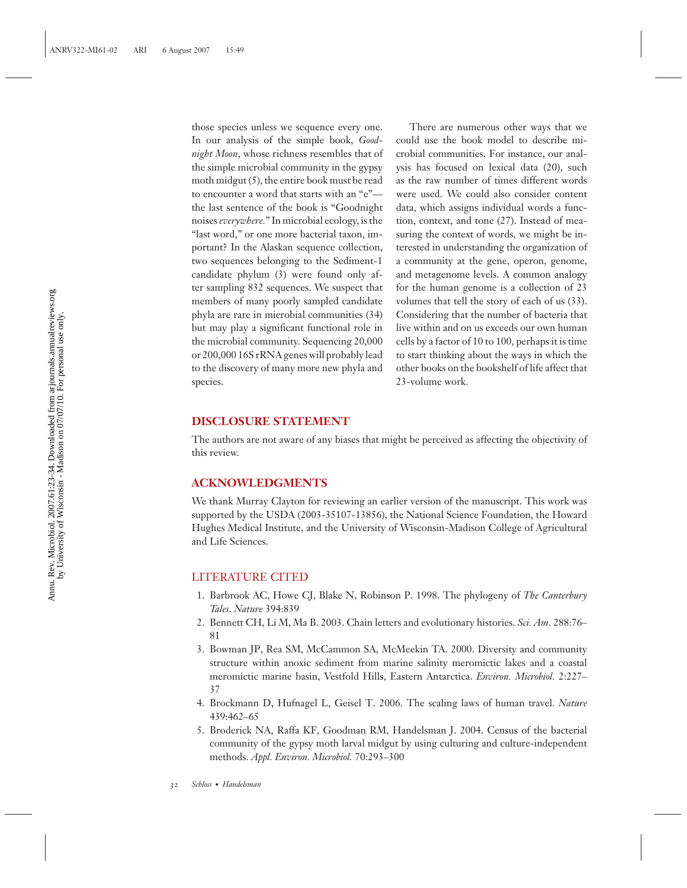those species unless we sequence every one. In our analysis of the simple book, *Goodnight Moon*, whose richness resembles that of the simple microbial community in the gypsy moth midgut (5), the entire book must be read to encounter a word that starts with an "e" the last sentence of the book is "Goodnight noises*everywhere.*" In microbial ecology, is the "last word," or one more bacterial taxon, important? In the Alaskan sequence collection, two sequences belonging to the Sediment-1 candidate phylum (3) were found only after sampling 832 sequences. We suspect that members of many poorly sampled candidate phyla are rare in microbial communities (34) but may play a significant functional role in the microbial community. Sequencing 20,000 or 200,000 16S rRNA genes will probably lead to the discovery of many more new phyla and species.

There are numerous other ways that we could use the book model to describe microbial communities. For instance, our analysis has focused on lexical data (20), such as the raw number of times different words were used. We could also consider content data, which assigns individual words a function, context, and tone (27). Instead of measuring the context of words, we might be interested in understanding the organization of a community at the gene, operon, genome, and metagenome levels. A common analogy for the human genome is a collection of 23 volumes that tell the story of each of us (33). Considering that the number of bacteria that live within and on us exceeds our own human cells by a factor of 10 to 100, perhaps it is time to start thinking about the ways in which the other books on the bookshelf of life affect that 23-volume work.

## **DISCLOSURE STATEMENT**

The authors are not aware of any biases that might be perceived as affecting the objectivity of this review.

#### **ACKNOWLEDGMENTS**

We thank Murray Clayton for reviewing an earlier version of the manuscript. This work was supported by the USDA (2003-35107-13856), the National Science Foundation, the Howard Hughes Medical Institute, and the University of Wisconsin-Madison College of Agricultural and Life Sciences.

#### LITERATURE CITED

- 1. Barbrook AC, Howe CJ, Blake N, Robinson P. 1998. The phylogeny of *The Canterbury Tales*. *Nature* 394:839
- 2. Bennett CH, Li M, Ma B. 2003. Chain letters and evolutionary histories. *Sci. Am.* 288:76– 81
- 3. Bowman JP, Rea SM, McCammon SA, McMeekin TA. 2000. Diversity and community structure within anoxic sediment from marine salinity meromictic lakes and a coastal meromictic marine basin, Vestfold Hills, Eastern Antarctica. *Environ. Microbiol.* 2:227– 37
- 4. Brockmann D, Hufnagel L, Geisel T. 2006. The scaling laws of human travel. *Nature* 439:462–65
- 5. Broderick NA, Raffa KF, Goodman RM, Handelsman J. 2004. Census of the bacterial community of the gypsy moth larval midgut by using culturing and culture-independent methods. *Appl. Environ. Microbiol.* 70:293–300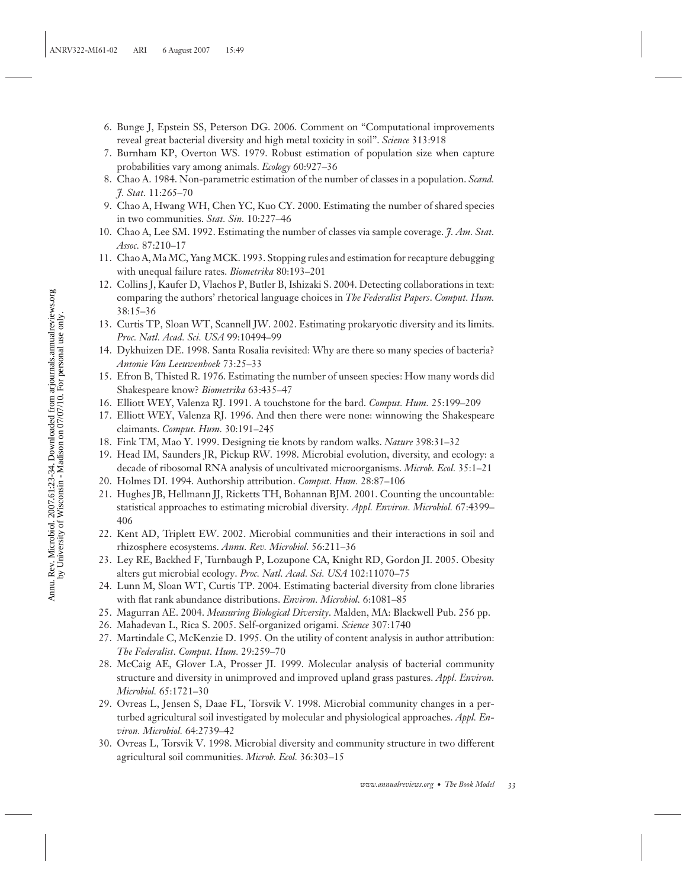- 6. Bunge J, Epstein SS, Peterson DG. 2006. Comment on "Computational improvements reveal great bacterial diversity and high metal toxicity in soil". *Science* 313:918
- 7. Burnham KP, Overton WS. 1979. Robust estimation of population size when capture probabilities vary among animals. *Ecology* 60:927–36
- 8. Chao A. 1984. Non-parametric estimation of the number of classes in a population. *Scand. J. Stat.* 11:265–70
- 9. Chao A, Hwang WH, Chen YC, Kuo CY. 2000. Estimating the number of shared species in two communities. *Stat. Sin.* 10:227–46
- 10. Chao A, Lee SM. 1992. Estimating the number of classes via sample coverage. *J. Am. Stat. Assoc.* 87:210–17
- 11. Chao A, Ma MC, Yang MCK. 1993. Stopping rules and estimation for recapture debugging with unequal failure rates. *Biometrika* 80:193–201
- 12. Collins J, Kaufer D, Vlachos P, Butler B, Ishizaki S. 2004. Detecting collaborations in text: comparing the authors' rhetorical language choices in *The Federalist Papers*. *Comput. Hum.* 38:15–36
- 13. Curtis TP, Sloan WT, Scannell JW. 2002. Estimating prokaryotic diversity and its limits. *Proc. Natl. Acad. Sci. USA* 99:10494–99
- 14. Dykhuizen DE. 1998. Santa Rosalia revisited: Why are there so many species of bacteria? *Antonie Van Leeuwenhoek* 73:25–33
- 15. Efron B, Thisted R. 1976. Estimating the number of unseen species: How many words did Shakespeare know? *Biometrika* 63:435–47
- 16. Elliott WEY, Valenza RJ. 1991. A touchstone for the bard. *Comput. Hum.* 25:199–209
- 17. Elliott WEY, Valenza RJ. 1996. And then there were none: winnowing the Shakespeare claimants. *Comput. Hum.* 30:191–245
- 18. Fink TM, Mao Y. 1999. Designing tie knots by random walks. *Nature* 398:31–32
- 19. Head IM, Saunders JR, Pickup RW. 1998. Microbial evolution, diversity, and ecology: a decade of ribosomal RNA analysis of uncultivated microorganisms. *Microb. Ecol.* 35:1–21
- 20. Holmes DI. 1994. Authorship attribution. *Comput. Hum.* 28:87–106
- 21. Hughes JB, Hellmann JJ, Ricketts TH, Bohannan BJM. 2001. Counting the uncountable: statistical approaches to estimating microbial diversity. *Appl. Environ. Microbiol.* 67:4399– 406
- 22. Kent AD, Triplett EW. 2002. Microbial communities and their interactions in soil and rhizosphere ecosystems. *Annu. Rev. Microbiol.* 56:211–36
- 23. Ley RE, Backhed F, Turnbaugh P, Lozupone CA, Knight RD, Gordon JI. 2005. Obesity alters gut microbial ecology. *Proc. Natl. Acad. Sci. USA* 102:11070–75
- 24. Lunn M, Sloan WT, Curtis TP. 2004. Estimating bacterial diversity from clone libraries with flat rank abundance distributions. *Environ. Microbiol.* 6:1081–85
- 25. Magurran AE. 2004. *Measuring Biological Diversity*. Malden, MA: Blackwell Pub. 256 pp.
- 26. Mahadevan L, Rica S. 2005. Self-organized origami. *Science* 307:1740
- 27. Martindale C, McKenzie D. 1995. On the utility of content analysis in author attribution: *The Federalist*. *Comput. Hum.* 29:259–70
- 28. McCaig AE, Glover LA, Prosser JI. 1999. Molecular analysis of bacterial community structure and diversity in unimproved and improved upland grass pastures. *Appl. Environ. Microbiol.* 65:1721–30
- 29. Ovreas L, Jensen S, Daae FL, Torsvik V. 1998. Microbial community changes in a perturbed agricultural soil investigated by molecular and physiological approaches. *Appl. Environ. Microbiol.* 64:2739–42
- 30. Ovreas L, Torsvik V. 1998. Microbial diversity and community structure in two different agricultural soil communities. *Microb. Ecol.* 36:303–15